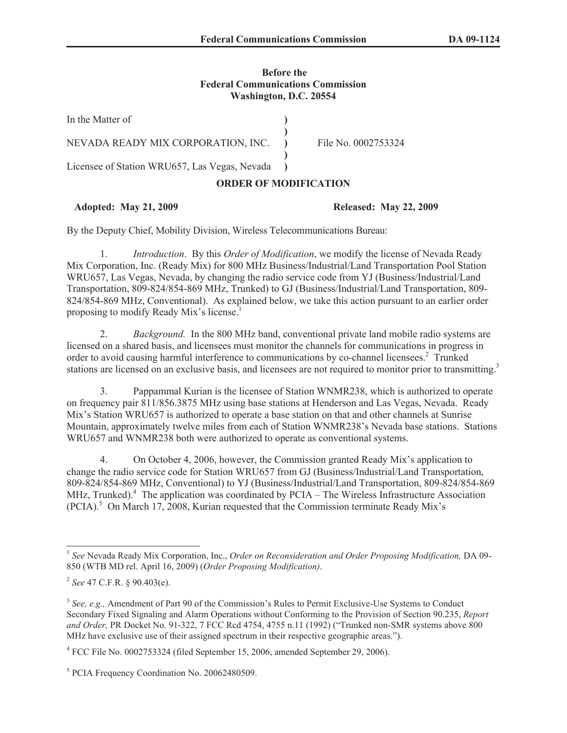# **Before the Federal Communications Commission Washington, D.C. 20554**

| In the Matter of                              |  |                     |
|-----------------------------------------------|--|---------------------|
| NEVADA READY MIX CORPORATION, INC.            |  | File No. 0002753324 |
| Licensee of Station WRU657, Las Vegas, Nevada |  |                     |

# **ORDER OF MODIFICATION**

# **Adopted: May 21, 2009 Released: May 22, 2009**

By the Deputy Chief, Mobility Division, Wireless Telecommunications Bureau:

1. *Introduction*. By this *Order of Modification*, we modify the license of Nevada Ready Mix Corporation, Inc. (Ready Mix) for 800 MHz Business/Industrial/Land Transportation Pool Station WRU657, Las Vegas, Nevada, by changing the radio service code from YJ (Business/Industrial/Land Transportation, 809-824/854-869 MHz, Trunked) to GJ (Business/Industrial/Land Transportation, 809- 824/854-869 MHz, Conventional). As explained below, we take this action pursuant to an earlier order proposing to modify Ready Mix's license.<sup>1</sup>

2. *Background.* In the 800 MHz band, conventional private land mobile radio systems are licensed on a shared basis, and licensees must monitor the channels for communications in progress in order to avoid causing harmful interference to communications by co-channel licensees.<sup>2</sup> Trunked stations are licensed on an exclusive basis, and licensees are not required to monitor prior to transmitting.<sup>3</sup>

3. Pappammal Kurian is the licensee of Station WNMR238, which is authorized to operate on frequency pair 811/856.3875 MHz using base stations at Henderson and Las Vegas, Nevada. Ready Mix's Station WRU657 is authorized to operate a base station on that and other channels at Sunrise Mountain, approximately twelve miles from each of Station WNMR238's Nevada base stations. Stations WRU657 and WNMR238 both were authorized to operate as conventional systems.

4. On October 4, 2006, however, the Commission granted Ready Mix's application to change the radio service code for Station WRU657 from GJ (Business/Industrial/Land Transportation, 809-824/854-869 MHz, Conventional) to YJ (Business/Industrial/Land Transportation, 809-824/854-869 MHz, Trunked).<sup>4</sup> The application was coordinated by PCIA – The Wireless Infrastructure Association  $(PCIA)$ <sup>5</sup> On March 17, 2008, Kurian requested that the Commission terminate Ready Mix's

<sup>&</sup>lt;sup>1</sup> See Nevada Ready Mix Corporation, Inc., *Order on Reconsideration and Order Proposing Modification*, DA 09-850 (WTB MD rel. April 16, 2009) (*Order Proposing Modification)*.

<sup>2</sup> *See* 47 C.F.R. § 90.403(e).

<sup>&</sup>lt;sup>3</sup> See, e.g., Amendment of Part 90 of the Commission's Rules to Permit Exclusive-Use Systems to Conduct Secondary Fixed Signaling and Alarm Operations without Conforming to the Provision of Section 90.235, *Report and Order,* PR Docket No. 91-322, 7 FCC Rcd 4754, 4755 n.11 (1992) ("Trunked non-SMR systems above 800 MHz have exclusive use of their assigned spectrum in their respective geographic areas.").

<sup>&</sup>lt;sup>4</sup> FCC File No. 0002753324 (filed September 15, 2006, amended September 29, 2006).

<sup>5</sup> PCIA Frequency Coordination No. 20062480509.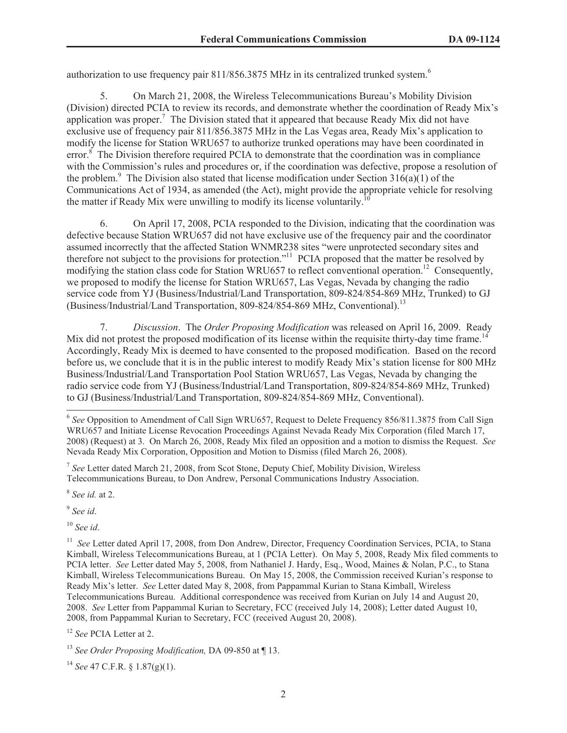authorization to use frequency pair 811/856.3875 MHz in its centralized trunked system.<sup>6</sup>

5. On March 21, 2008, the Wireless Telecommunications Bureau's Mobility Division (Division) directed PCIA to review its records, and demonstrate whether the coordination of Ready Mix's application was proper.<sup>7</sup> The Division stated that it appeared that because Ready Mix did not have exclusive use of frequency pair 811/856.3875 MHz in the Las Vegas area, Ready Mix's application to modify the license for Station WRU657 to authorize trunked operations may have been coordinated in error.<sup>8</sup> The Division therefore required PCIA to demonstrate that the coordination was in compliance with the Commission's rules and procedures or, if the coordination was defective, propose a resolution of the problem.<sup>9</sup> The Division also stated that license modification under Section 316(a)(1) of the Communications Act of 1934, as amended (the Act), might provide the appropriate vehicle for resolving the matter if Ready Mix were unwilling to modify its license voluntarily.

6. On April 17, 2008, PCIA responded to the Division, indicating that the coordination was defective because Station WRU657 did not have exclusive use of the frequency pair and the coordinator assumed incorrectly that the affected Station WNMR238 sites "were unprotected secondary sites and therefore not subject to the provisions for protection."<sup>11</sup> PCIA proposed that the matter be resolved by modifying the station class code for Station WRU657 to reflect conventional operation.<sup>12</sup> Consequently, we proposed to modify the license for Station WRU657, Las Vegas, Nevada by changing the radio service code from YJ (Business/Industrial/Land Transportation, 809-824/854-869 MHz, Trunked) to GJ (Business/Industrial/Land Transportation, 809-824/854-869 MHz, Conventional).<sup>13</sup>

7. *Discussion*. The *Order Proposing Modification* was released on April 16, 2009. Ready Mix did not protest the proposed modification of its license within the requisite thirty-day time frame.<sup>14</sup> Accordingly, Ready Mix is deemed to have consented to the proposed modification. Based on the record before us, we conclude that it is in the public interest to modify Ready Mix's station license for 800 MHz Business/Industrial/Land Transportation Pool Station WRU657, Las Vegas, Nevada by changing the radio service code from YJ (Business/Industrial/Land Transportation, 809-824/854-869 MHz, Trunked) to GJ (Business/Industrial/Land Transportation, 809-824/854-869 MHz, Conventional).

7 *See* Letter dated March 21, 2008, from Scot Stone, Deputy Chief, Mobility Division, Wireless Telecommunications Bureau, to Don Andrew, Personal Communications Industry Association.

8 *See id.* at 2.

9 *See id*.

<sup>10</sup> *See id*.

<sup>&</sup>lt;sup>6</sup> See Opposition to Amendment of Call Sign WRU657, Request to Delete Frequency 856/811.3875 from Call Sign WRU657 and Initiate License Revocation Proceedings Against Nevada Ready Mix Corporation (filed March 17, 2008) (Request) at 3. On March 26, 2008, Ready Mix filed an opposition and a motion to dismiss the Request. *See*  Nevada Ready Mix Corporation, Opposition and Motion to Dismiss (filed March 26, 2008).

<sup>&</sup>lt;sup>11</sup> *See* Letter dated April 17, 2008, from Don Andrew, Director, Frequency Coordination Services, PCIA, to Stana Kimball, Wireless Telecommunications Bureau, at 1 (PCIA Letter). On May 5, 2008, Ready Mix filed comments to PCIA letter. *See* Letter dated May 5, 2008, from Nathaniel J. Hardy, Esq., Wood, Maines & Nolan, P.C., to Stana Kimball, Wireless Telecommunications Bureau. On May 15, 2008, the Commission received Kurian's response to Ready Mix's letter. *See* Letter dated May 8, 2008, from Pappammal Kurian to Stana Kimball, Wireless Telecommunications Bureau. Additional correspondence was received from Kurian on July 14 and August 20, 2008. *See* Letter from Pappammal Kurian to Secretary, FCC (received July 14, 2008); Letter dated August 10, 2008, from Pappammal Kurian to Secretary, FCC (received August 20, 2008).

<sup>12</sup> *See* PCIA Letter at 2.

<sup>13</sup> *See Order Proposing Modification,* DA 09-850 at ¶ 13.

<sup>14</sup> *See* 47 C.F.R. § 1.87(g)(1).